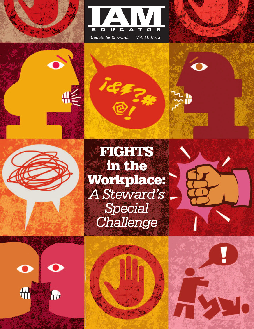





2









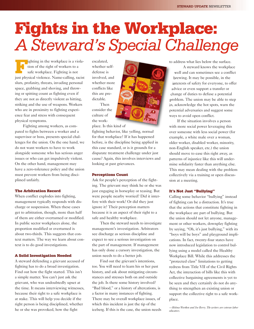# **Fights in the Workplace:** *A Steward's Special Challenge*

**ighting in the workplace is a viola**tion of the right of workers to a safe workplace. Fighting is not just physical violence. Name-calling, racist slurs, profanity, threats, invading personal space, grabbing and shoving, and throwing or spitting count as fighting even if they are not as directly violent as hitting, striking and the use of weapons. Workers who are in proximity to fighting experience fear and stress with consequent physical symptoms.

Fighting among workers, as compared to fights between a worker and a supervisor or boss, presents special challenges for the union. On the one hand, we do not want workers to have to work alongside someone who has serious anger issues or who can get impulsively violent. On the other hand, management may have a zero-tolerance policy and the union must prevent workers from being disciplined unfairly.

#### **The Arbitration Record**

When conflict explodes into fighting, management typically responds with discharge or suspension. When these cases get to arbitration, though, more than half of them are either overturned or modified. In public sector workplaces alone, the proportion modified or overturned is about two-thirds. This suggests that context matters. The way we learn about context is to do good investigations.

#### **A Solid Investigation Needed**

A steward defending a grievant accused of fighting has to do a broad investigation. Find out how the fight started. This isn't a simple matter. You can't just ask the grievant, who was undoubtedly upset at the time. It means interviewing witnesses, because their right to a safe workplace is at stake. This will help you decide if the right person is being disciplined, whether he or she was provoked, how the fight

escalated, whether selfdefense is involved, and whether more conflicts like this are predictable.

Then consider the culture of the work-

place. Is this kind of

fighting behavior, like yelling, normal for that workplace? If it has happened before, is the discipline being applied in this case standard, or is it grounds for a disparate treatment challenge under just cause? Again, this involves interviews and looking at past grievances.

#### **Perceptions Count**

Ask for people's perception of the fighting. The grievant may think he or she was just engaging in horseplay or teasing. But were people nearby worried? Did it interfere with their work? Or did they just ignore it? Their perception matters because it is an aspect of their right to a safe and healthy workplace.

Then the steward needs to investigate management's investigation. Arbitrators see discharge as serious discipline and expect to see a serious investigation on the part of management. If management has only done a cursory investigation, the union needs to do a better job.

Find out the grievant's intentions, too. You will need to learn his or her past history, and ask about mitigating circumstances and stresses both on and outside the job. Is there some history involved? "Bad blood," or a history of altercations, is a factor in many instances of fighting. There may be overall workplace issues, of which this incident is just the tip of the iceberg. If this is the case, the union needs to address what lies below the surface.

A steward knows the workplace well and can sometimes see a conflict brewing. It may be possible, in the interests of safety for everyone, to offer advice or even support a transfer or change of duties to defuse a potential problem. The union may be able to step in, acknowledge the hot spots, warn the potential adversaries and suggest some ways to avoid open conflict.

If the situation involves a person with more social power leveraging this over someone with less social power (for example, a white male over a woman, older worker, disabled worker, minority, non-English speaker, etc.) the union should move to ease this right away, as patterns of injustice like this will undermine solidarity faster than anything else. This may mean dealing with the problem collectively via a training or open discussion at a meeting.

#### **It's Not Just "Bullying"**

Calling some behavior "bullying" instead of fighting can be a distraction. It's true that the actions that constitute fighting in the workplace are part of bullying. But the union should not let anyone, management or other workers, downplay fighting by saying, "Oh, it's just bullying," with its "boys will be boys" and playground implications. In fact, twenty-four states have now introduced legislation to control bullying using a model called the Healthy Workplace Bill. While this addresses the "protected class" limitations to getting redress from Title VII of the Civil Rights Act, the interaction of bills like this with collective bargaining agreements is yet to be seen and they certainly do not do anything to strengthen an existing union or support the collective right to a safe workplace.

*—Helena Worthen and Joe Berry. The writers are veteran labor educators.*

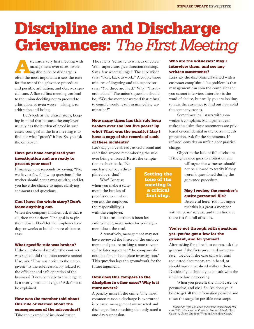# **Discipline and Discharge Grievances:** *The First Meeting*

steward's very first meeting with<br>
management over cases involv-<br>
ing discipline or discharge is<br>
often the most important; it sets the tone management over cases involving discipline or discharge is often the most important: it sets the tone for the rest of the grievance procedure and possible arbitration, and deserves special care. A flawed first meeting can lead to the union deciding not to proceed to arbitration, or even worse—taking it to arbitration and losing.

Let's look at the critical steps, keeping in mind that because the employer usually has the burden of proof in such cases, your goal in the first meeting is to find out what "proofs" it has. So, you ask the employer:

## **Have you have completed your investigation and are ready to present your case?**

If management responds by saying, "No, we have a few follow-up questions," the worker should not answer quickly, and let you have the chance to inject clarifying comments and questions.

### **Can I have the whole story? Don't leave anything out.**

When the company finishes, ask if that is all, then thank them. The goal is to pin them down. Don't let the employer have days or weeks to build a more elaborate case.

### **What specific rule was broken?**

If the rule showed up after the contract was signed, did the union receive notice? If so, ask "How was notice to the union given?" Is the rule reasonably related to the efficient and safe operation of the business? If not, be ready to challenge it. Is it overly broad and vague? Ask for it to be explained.

# **How was the member told about this rule or warned about the consequences of the misconduct?**

Take the example of insubordination.

The rule is "refusing to work as directed." Well, supervisors give direction nonstop. Say a few workers linger. The supervisor says, "okay, back to work." A couple more minutes of lingering and the supervisor says, "You three are fired." Why? "Insubordination." The union's question should be, "Was the member warned that refusal to comply would result in immediate termination?"

# **How many times has this rule been broken over the last five years? By who? What was the penalty? May I have a copy of the records of each of these incidents?**

Let's say you've already asked around and can't find anyone remembering the rule ever being enforced. Resist the tempta-

tion to shoot back, "No one has ever been disciplined over that!"

Why? Because when you make a statement, the burden of proof is on you; when you ask the employer, the responsibility is with the employer.

If it turns out there's been lax enforcement, make notes for your argument down the road.

Alternatively, management may not have reviewed the history of the enforcement and you are making a note to yourself to later argue that "the company did not do a fair and complete investigation." This question lays the groundwork for the future argument.

## **How does this compare to the discipline in other cases? Why is it more severe?**

A penalty must fit the crime. The most common reason a discharge is overturned is because management overreacted and discharged for something that only rated a one-day suspension.

# **Who are the witnesses? May I interview them, and see any written statements?**

Let's say the discipline all started with a customer complaint. The problem is that management can spin the complaint and you cannot interview. Interview is the word of choice, but really you are looking to quiz the customer to find out how solid the company case is.

Sometimes it all starts with a coworker's complaint. Management can make the claim these statements are privileged or confidential or the person needs protection. Ask for the statements. If refused, consider an unfair labor practice charge.

Object to the lack of full disclosure. If the grievance goes to arbitration you

> will argue the witnesses should not be allowed to testify if they weren't questioned during the grievance procedure.

# **May I review the member's entire personnel file?**

Be careful here: You may argue that this is a great a member

with 20 years' service, and then find out there is a file full of issues.

## **You're not through with questions yet: you've got a few for the grievant, and for yourself.**

After asking for a break to caucus, ask the grievant if the facts presented are accurate. Decide if the case can wait until requested documents are in hand, or should you move ahead without them. Decide if you should you consult with the union before proceeding.

When you present the union case, be persuasive, and civil. You've done your best to get all the information possible and to set the stage for possible next steps.

*—Richard de Vries. The writer is a veteran steward with IBT Local 705. With thanks to Robert M. Schwartz's book,* "Just Cause: A Union Guide to Winning Discipline Cases."

**Setting the tone of the meeting is a critical first step.**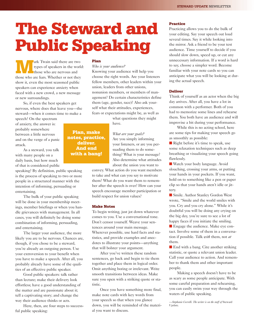# **The Steward and Public Speaking**

ark Twain said there are two types of speakers in the world: those who are nervous and those who are liars. Whether or not they show it, even the most seasoned public speakers can experience anxiety when faced with a new crowd, a new message or new surroundings.

So, if even the best speakers get nervous, where does that leave you—the steward—when it comes time to make a

speech? On the spectrum of anxiety, the answer is: probably somewhere between a little nervous and on the verge of a panic attack.

As a steward, you talk with many people on a daily basis, but how much of that is considered public

speaking? By definition, public speaking is the process of speaking to two or more people in a structured manner with the intention of informing, persuading or entertaining.

The bulk of your public speaking will be done in your membership meetings, member briefings or when you handle grievances with management. In all cases, you will definitely be doing some combination of informing, persuading, and entertaining.

The larger your audience, the more likely you are to be nervous. Chances are, though, if you chose to be a steward, you're already an outgoing person. Use your extroversion to your benefit when you have to make a speech. After all, you probably already have some of the qualities of an effective public speaker.

Good public speakers: talk rather than lecture; make their delivery look effortless; have a good understanding of the matter and are passionate about it; tell a captivating story; and change the way their audience thinks or acts.

Here, then, are four steps to successful public speaking:

# **Plan**

*Who is your audience?*

Knowing your audience will help you choose the right words. Are your listeners fellow members, other leaders within your union, leaders from other unions, nonunion members, or members of management? Do certain characteristics define them (age, gender, race)? Also ask yourself what their attitudes, experiences, fears or expectations might be, as well as

> what questions they might have.

*What are your goals?* Are you simply informing your listeners, or are you persuading them to do something? What is your message? Also determine what attitudes about the union you want to

convey. What action do you want members to take and what can you say to motivate them? What do you want them to remember after the speech is over? How can your speech encourage member participation or build respect for union values?

#### **Make Notes**

To begin writing, just jot down whatever comes to you. Use a conversational tone. Don't censor yourself. Weave your sentences around your main message. Wherever possible, use hard facts and statistics, and provide examples and anecdotes to illustrate your points—anything that will bolster your argument.

After you've written these random sentences, go back and begin to tie them together and place them in logical order. Omit anything boring or irrelevant. Write smooth transitions between ideas. Make sure you open with a striking quote or statistic.

Once you have something more final, make note cards with key words from your speech so that when you glance down, you will be reminded of the material you want to discuss.

### **Practice**

Practicing allows you to do the bulk of your editing. Say your speech out loud several times. Say it while looking into the mirror. Ask a friend to be your test audience. Time yourself to decide if you should slow down, speed up, or cut any unnecessary information. If a word is hard to say, choose a simpler word. Become familiar with your note cards so you can anticipate what you will be looking at during the actual speech.

### **Deliver**

Think of yourself as an actor when the big day arrives. After all, you have a lot in common with a performer. Both of you had to memorize some lines and rehearse them. You both have an audience and will improvise a bit during your performance.

While this is no acting school, here are some tips for making your speech go as smoothly as possible:

■ Right before it's time to speak, use some relaxation techniques such as deep breathing or visualizing your speech going flawlessly.

■ Watch your body language. Avoid slouching, crossing your arms, or putting your hands in your pockets. If you want, hold on to something like a pen or paper clip so that your hands aren't idle or jittery.

■ Smile. Author Stanley Gordon West wrote, "Smile and the world smiles with you. Cry and you cry alone." While it's doubtful you will be doing any crying on the big day, you're sure to see a lot of happy faces if you initiate the smiling.

■ Engage the audience. Make eye contact. Involve some of them in a conversation if possible. Talk *with* them, not *at* them.

■ End with a bang. Cite another striking statistic, or quote a relevant union leader. Call your audience to action. And remember to thank them and other important people.

Making a speech doesn't have to be as scary as some people anticipate. With some careful preparation and rehearsing, you can easily swim your way through the waters of public speaking.

*—Stephanie Correlli. The writer is on the staff of* Steward Update.

**Plan, make notes, practice, deliver. And end with a bang!**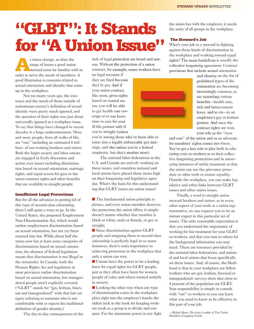# **"GLBT": It Stands for "A Union Issue"**

**A**s times change, so does the range of issues a good union steward must be familiar with in order to serve the needs of members. A good illustration is concerns related to sexual orientation and identity that come up in the workplace.

Not too many years ago, the existence and the needs of those outside of mainstream society's definition of sexual identity were pretty much ignored, and the question of their rights was just about universally ignored as a workplace issue. To say that things have changed in recent decades is a huge understatement. More and more people, from all walks of life, are "out," including an estimated 8 million+ of our working brothers and sisters. Both the larger society and labor unions are engaged in lively discussion and action over issues including discrimination based on sexual orientation, marriage rights, and equal access for gays to the union contract rights and other benefits that are available to straight people.

### **Insufficient Legal Protections**

But for all the advances in getting rid of this type of second-class citizenship, there's still quite a ways to go. In the United States, the proposed Employment Non-Discrimination Act, which would outlaw employment discrimination based on sexual orientation, has not yet been enacted into law. While about half the states now bar at least some categories of discrimination based on sexual orientation, the absence of federal legislation means that discrimination is not illegal in the remainder. In Canada, both the Human Rights Act and legislation in most provinces outlaw discrimination based on sexual orientation, but transgendered people aren't explicitly covered. ("GLBT" stands for "gay, lesbian, bisexual and transgendered" with that last category referring to someone who is not comfortable with or rejects the traditional definition of gender identity.)

The day-to-day consequences of the

lack of legal protection are broad and serious. Without the protection of a union contract, for example, many workers have

no legal recourse if they are fired because they're gay. And if your union contract, like most, gives rights based on marital status, you will be able to get health care coverage or to use leave time to care for your ill life partner only if you're straight (unless

you're among those who've been able to enter into a legally enforceable gay marriage, and also unless you're a federal employee, but that's another story).

The national labor federations in the U.S. and Canada are actively working on these issues, and countless national and local unions have placed these items high on their bargaining and legislative agendas. What's the basis for this understanding that GLBT issues are union issues?

■ The fundamental union principle is *fairness*, and *every* union member deserves the protection the union offers; it simply doesn't matter whether that member is black or white, male or female, or gay or straight;

■ Since discrimination against GLBT people and assigning them to second-class citizenship is perfectly legal in so many instances, there's extra importance to achieving protection in the workplace that only a union can win;

■ Unions have the power to be a leading force for equal rights for GLBT people, just as they often have been for women, people of color, and others treated unfairly in society;

■ Looking the other way when any type of discrimination exists in the workplace plays right into the employer's hands; the oldest trick in the book for keeping workers weak as a group is to divide and conquer. For the maximum power in any fight



the union has with the employer, it needs the unity of all groups in the workplace.

### **The Steward's Job**

What's your job as a steward in fighting against these kinds of discrimination in the workplace and working toward equal rights? The main battlefront is usually the collective bargaining agreement. Contract provisions that include sexual orientation

> and identity on the list of prohibited types of discrimination are becoming increasingly common, as are extending various benefits—health care, sick and bereavement leave, and so on—to an employee's gay or lesbian partner. And once the contract rights are won, your role as the "eyes

and ears" of the union and as an advocate for members' rights comes into focus. You've got a key role to play both in educating your co-workers as to their collective bargaining protections and in uncovering instances of unfair treatment so that the union can use the grievance procedure or other tools to ensure equality. Outside the workplace, you can make legislative and other links between GLBT issues and other union issues.

Finally, a word to straight union steward brothers and sisters: as in every other aspect of your work as a union representative, no one expects you to be an instant expert in this particular set of issues. The only reasonable expectation is that you understand the importance of working for fair treatment for your GLBT co-workers, and that you turn to others for the background information you may need. There are resources provided by the national labor federations, and national and local unions that focus specifically on these issues. And, of course, the likelihood is that in your workplace are fellow workers who are gay, lesbian, bisexual or transgendered: surveys show that close to 4 percent of the population are GLBT. Your responsibility is simply to consult with "out" co-workers so you can learn what you need to know to be effective in this part of your job.

*—Michael Mauer. The writer is author of* The Union Member's Complete Guide.